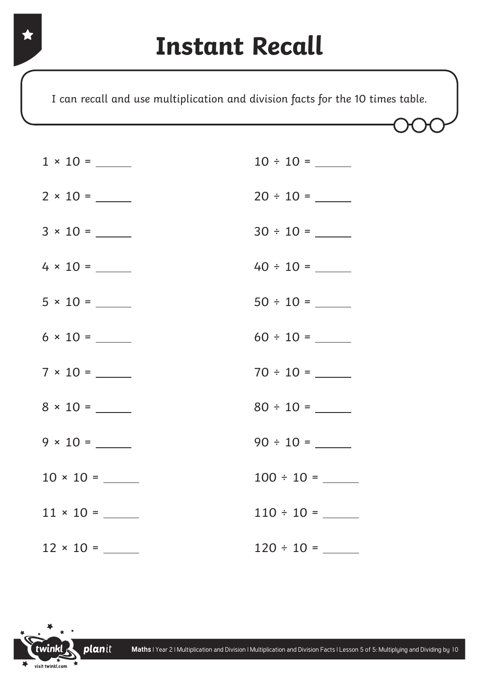I can recall and use multiplication and division facts for the 10 times table.

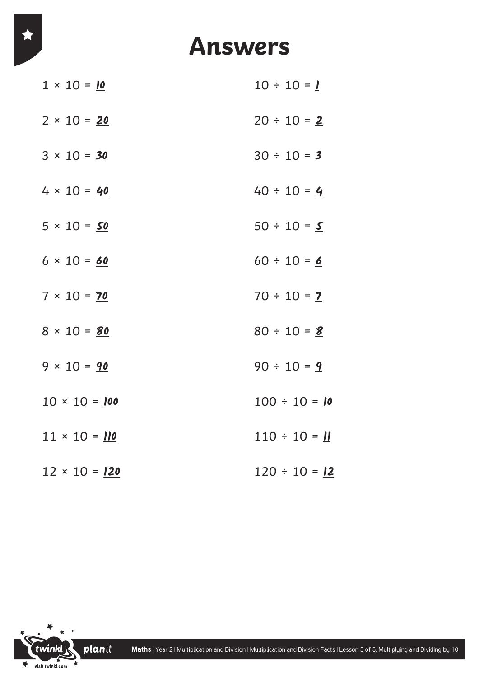## **Answers**

| $1 \times 10 = 10$   | $10 \div 10 = 1$   |
|----------------------|--------------------|
| $2 \times 10 = 20$   | $20 \div 10 = 2$   |
| $3 \times 10 = 30$   | $30 \div 10 = 2$   |
| $4 \times 10 = 40$   | $40 \div 10 = 4$   |
| $5 \times 10 = 50$   | $50 \div 10 = S$   |
| $6 \times 10 = 60$   | $60 \div 10 = 6$   |
| $7 \times 10 = 70$   | $70 \div 10 = 2$   |
| $8 \times 10 = 80$   | $80 \div 10 = 8$   |
| $9 \times 10 = 90$   | $90 \div 10 = 9$   |
| $10 \times 10 = 100$ | $100 \div 10 = 10$ |
| $11 \times 10 = 110$ | $110 \div 10 = 11$ |
| $12 \times 10 = 120$ | $120 \div 10 = 12$ |

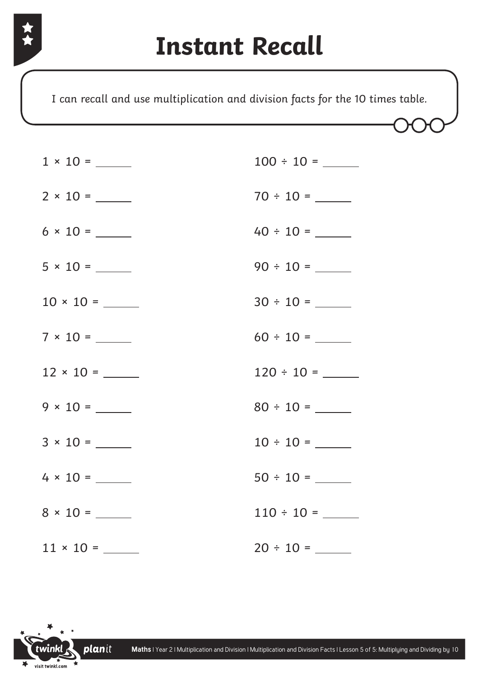I can recall and use multiplication and division facts for the 10 times table.

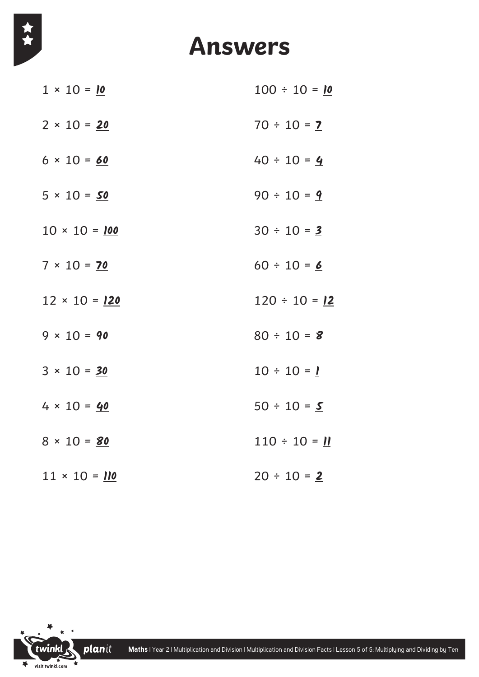

## **Answers**

| $1 \times 10 = 10$   | $100 \div 10 = 10$ |
|----------------------|--------------------|
| $2 \times 10 = 20$   | $70 \div 10 = 2$   |
| $6 \times 10 = 60$   | $40 \div 10 = 4$   |
| $5 \times 10 = 50$   | $90 \div 10 = 9$   |
| $10 \times 10 = 100$ | $30 \div 10 = 3$   |
| $7 \times 10 = 70$   | $60 \div 10 = 6$   |
| $12 \times 10 = 120$ | $120 \div 10 = 12$ |
| $9 \times 10 = 90$   | $80 \div 10 = 8$   |
| $3 \times 10 = 30$   | $10 \div 10 = 1$   |
| $4 \times 10 = 40$   | $50 \div 10 = S$   |
| $8 \times 10 = 80$   | $110 \div 10 = 11$ |
| $11 \times 10 = 110$ | $20 \div 10 = 2$   |

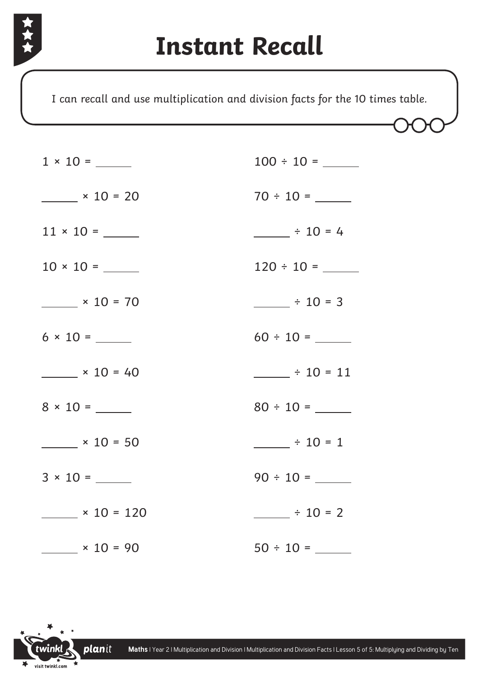

I can recall and use multiplication and division facts for the 10 times table.

| $\frac{\text{10}}{10} \times 10 = 20$ | $70 \div 10 =$         |
|---------------------------------------|------------------------|
|                                       | $ \div$ 10 = 4         |
|                                       | $120 \div 10 =$        |
| $\frac{\ }{2}$ × 10 = 70              | $\frac{1}{2}$ ÷ 10 = 3 |
|                                       |                        |
| $\times 10 = 40$                      | $\div 10 = 11$         |
|                                       |                        |
| $\frac{\text{10}}{10} \times 10 = 50$ | $\frac{1}{2}$ ÷ 10 = 1 |
|                                       | $90 \div 10 =$         |
| $\times$ 10 = 120                     | $\frac{1}{2}$ ÷ 10 = 2 |
| $\frac{x}{10} = 90$                   |                        |